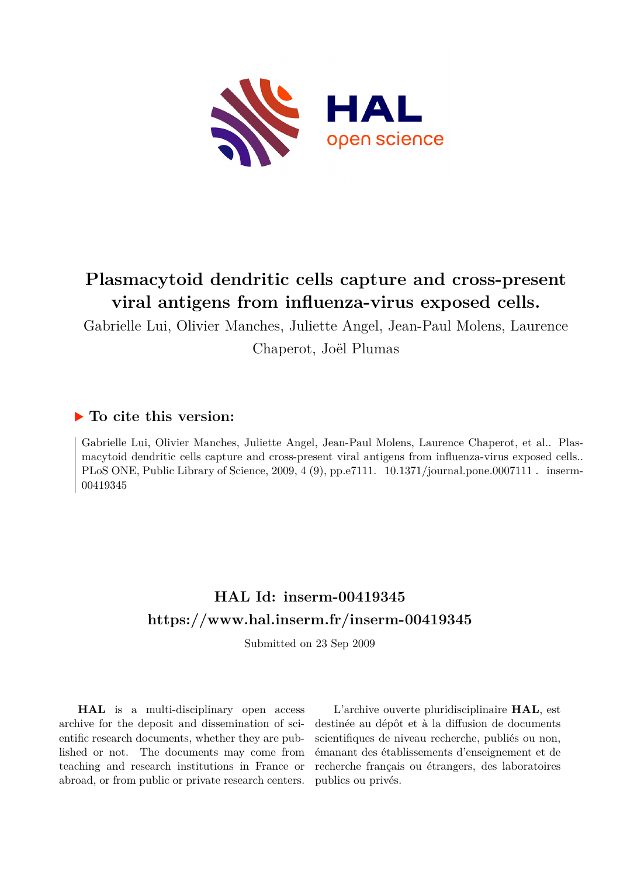

# **Plasmacytoid dendritic cells capture and cross-present viral antigens from influenza-virus exposed cells.**

Gabrielle Lui, Olivier Manches, Juliette Angel, Jean-Paul Molens, Laurence Chaperot, Joël Plumas

## **To cite this version:**

Gabrielle Lui, Olivier Manches, Juliette Angel, Jean-Paul Molens, Laurence Chaperot, et al.. Plasmacytoid dendritic cells capture and cross-present viral antigens from influenza-virus exposed cells.. PLoS ONE, Public Library of Science, 2009, 4 (9), pp.e7111. 10.1371/journal.pone.0007111 . inserm-00419345ff

## **HAL Id: inserm-00419345 <https://www.hal.inserm.fr/inserm-00419345>**

Submitted on 23 Sep 2009

**HAL** is a multi-disciplinary open access archive for the deposit and dissemination of scientific research documents, whether they are published or not. The documents may come from teaching and research institutions in France or abroad, or from public or private research centers.

L'archive ouverte pluridisciplinaire **HAL**, est destinée au dépôt et à la diffusion de documents scientifiques de niveau recherche, publiés ou non, émanant des établissements d'enseignement et de recherche français ou étrangers, des laboratoires publics ou privés.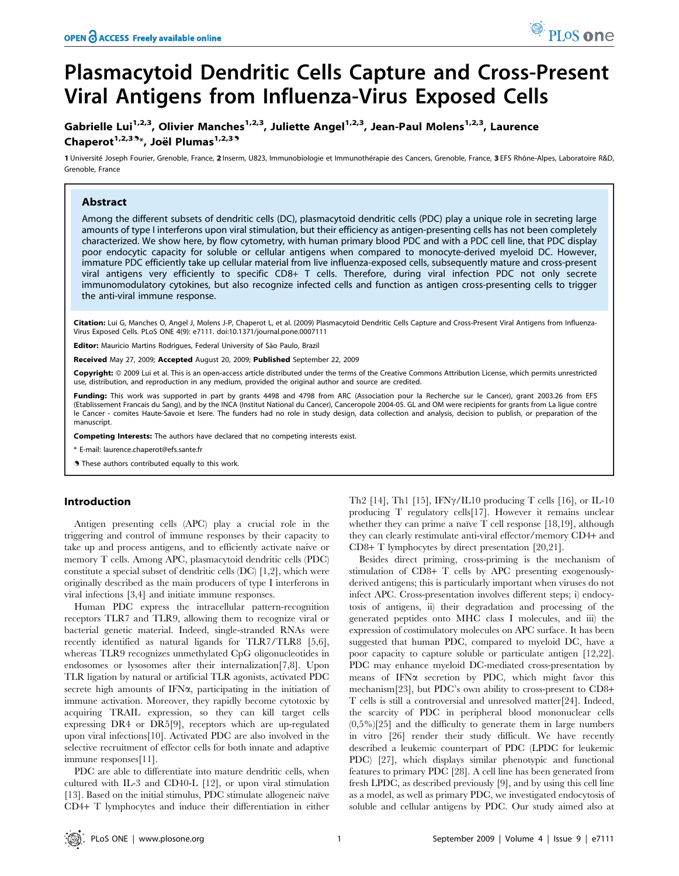# Plasmacytoid Dendritic Cells Capture and Cross-Present Viral Antigens from Influenza-Virus Exposed Cells

### Gabrielle Lui<sup>1,2,3</sup>, Olivier Manches<sup>1,2,3</sup>, Juliette Angel<sup>1,2,3</sup>, Jean-Paul Molens<sup>1,2,3</sup>, Laurence Chaperot<sup>1,2,3.9</sup>\*, Joël Plumas<sup>1,2,3.9</sup>

1 Université Joseph Fourier, Grenoble, France, 2 Inserm, U823, Immunobiologie et Immunothérapie des Cancers, Grenoble, France, 3 EFS Rhône-Alpes, Laboratoire R&D, Grenoble, France

#### Abstract

Among the different subsets of dendritic cells (DC), plasmacytoid dendritic cells (PDC) play a unique role in secreting large amounts of type I interferons upon viral stimulation, but their efficiency as antigen-presenting cells has not been completely characterized. We show here, by flow cytometry, with human primary blood PDC and with a PDC cell line, that PDC display poor endocytic capacity for soluble or cellular antigens when compared to monocyte-derived myeloid DC. However, immature PDC efficiently take up cellular material from live influenza-exposed cells, subsequently mature and cross-present viral antigens very efficiently to specific CD8+ T cells. Therefore, during viral infection PDC not only secrete immunomodulatory cytokines, but also recognize infected cells and function as antigen cross-presenting cells to trigger the anti-viral immune response.

Citation: Lui G, Manches O, Angel J, Molens J-P, Chaperot L, et al. (2009) Plasmacytoid Dendritic Cells Capture and Cross-Present Viral Antigens from Influenza-Virus Exposed Cells. PLoS ONE 4(9): e7111. doi:10.1371/journal.pone.0007111

**Editor:** Mauricio Martins Rodrigues, Federal University of São Paulo, Brazil

Received May 27, 2009; Accepted August 20, 2009; Published September 22, 2009

Copyright: @ 2009 Lui et al. This is an open-access article distributed under the terms of the Creative Commons Attribution License, which permits unrestricted use, distribution, and reproduction in any medium, provided the original author and source are credited.

Funding: This work was supported in part by grants 4498 and 4798 from ARC (Association pour la Recherche sur le Cancer), grant 2003.26 from EFS (Etablissement Francais du Sang), and by the INCA (Institut National du Cancer), Canceropole 2004-05. GL and OM were recipients for grants from La ligue contre le Cancer - comites Haute-Savoie et Isere. The funders had no role in study design, data collection and analysis, decision to publish, or preparation of the manuscript.

Competing Interests: The authors have declared that no competing interests exist.

\* E-mail: laurence.chaperot@efs.sante.fr

. These authors contributed equally to this work.

#### Introduction

Antigen presenting cells (APC) play a crucial role in the triggering and control of immune responses by their capacity to take up and process antigens, and to efficiently activate naive or memory T cells. Among APC, plasmacytoid dendritic cells (PDC) constitute a special subset of dendritic cells (DC) [1,2], which were originally described as the main producers of type I interferons in viral infections [3,4] and initiate immune responses.

Human PDC express the intracellular pattern-recognition receptors TLR7 and TLR9, allowing them to recognize viral or bacterial genetic material. Indeed, single-stranded RNAs were recently identified as natural ligands for TLR7/TLR8 [5,6], whereas TLR9 recognizes unmethylated CpG oligonucleotides in endosomes or lysosomes after their internalization[7,8]. Upon TLR ligation by natural or artificial TLR agonists, activated PDC secrete high amounts of IFN $\alpha$ , participating in the initiation of immune activation. Moreover, they rapidly become cytotoxic by acquiring TRAIL expression, so they can kill target cells expressing DR4 or DR5[9], receptors which are up-regulated upon viral infections[10]. Activated PDC are also involved in the selective recruitment of effector cells for both innate and adaptive immune responses[11].

PDC are able to differentiate into mature dendritic cells, when cultured with IL-3 and CD40-L [12], or upon viral stimulation [13]. Based on the initial stimulus, PDC stimulate allogeneic naïve CD4+ T lymphocytes and induce their differentiation in either Th2 [14], Th1 [15], IFN $\gamma$ /IL10 producing T cells [16], or IL-10 producing T regulatory cells[17]. However it remains unclear whether they can prime a naïve  $T$  cell response  $[18,19]$ , although they can clearly restimulate anti-viral effector/memory CD4+ and CD8+ T lymphocytes by direct presentation [20,21].

Besides direct priming, cross-priming is the mechanism of stimulation of CD8+ T cells by APC presenting exogenouslyderived antigens; this is particularly important when viruses do not infect APC. Cross-presentation involves different steps; i) endocytosis of antigens, ii) their degradation and processing of the generated peptides onto MHC class I molecules, and iii) the expression of costimulatory molecules on APC surface. It has been suggested that human PDC, compared to myeloid DC, have a poor capacity to capture soluble or particulate antigen [12,22]. PDC may enhance myeloid DC-mediated cross-presentation by means of IFN $\alpha$  secretion by PDC, which might favor this mechanism[23], but PDC's own ability to cross-present to CD8+ T cells is still a controversial and unresolved matter[24]. Indeed, the scarcity of PDC in peripheral blood mononuclear cells  $(0,5\%)$ [25] and the difficulty to generate them in large numbers in vitro [26] render their study difficult. We have recently described a leukemic counterpart of PDC (LPDC for leukemic PDC) [27], which displays similar phenotypic and functional features to primary PDC [28]. A cell line has been generated from fresh LPDC, as described previously [9], and by using this cell line as a model, as well as primary PDC, we investigated endocytosis of soluble and cellular antigens by PDC. Our study aimed also at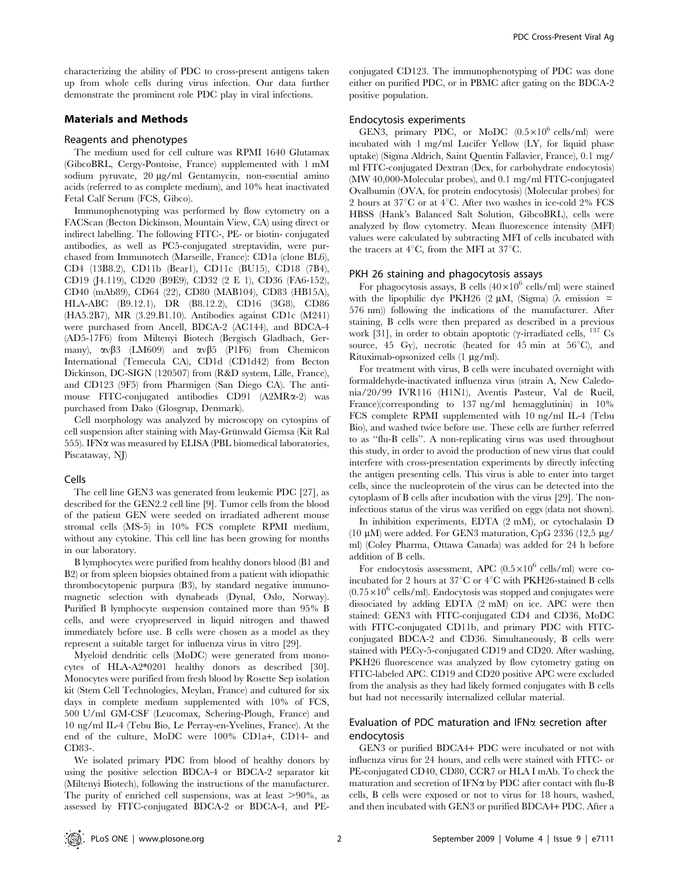characterizing the ability of PDC to cross-present antigens taken up from whole cells during virus infection. Our data further demonstrate the prominent role PDC play in viral infections.

#### Materials and Methods

#### Reagents and phenotypes

The medium used for cell culture was RPMI 1640 Glutamax (GibcoBRL, Cergy-Pontoise, France) supplemented with 1 mM sodium pyruvate, 20 µg/ml Gentamycin, non-essential amino acids (referred to as complete medium), and 10% heat inactivated Fetal Calf Serum (FCS, Gibco).

Immunophenotyping was performed by flow cytometry on a FACScan (Becton Dickinson, Mountain View, CA) using direct or indirect labelling. The following FITC-, PE- or biotin- conjugated antibodies, as well as PC5-conjugated streptavidin, were purchased from Immunotech (Marseille, France): CD1a (clone BL6), CD4 (13B8.2), CD11b (Bear1), CD11c (BU15), CD18 (7B4), CD19 (J4.119), CD20 (B9E9), CD32 (2 E 1), CD36 (FA6-152), CD40 (mAb89), CD64 (22), CD80 (MAB104), CD83 (HB15A), HLA-ABC (B9.12.1), DR (B8.12.2), CD16 (3G8), CD86 (HA5.2B7), MR (3.29.B1.10). Antibodies against CD1c (M241) were purchased from Ancell, BDCA-2 (AC144), and BDCA-4 (AD5-17F6) from Miltenyi Biotech (Bergisch Gladbach, Germany),  $\alpha v \beta$ 3 (LM609) and  $\alpha v \beta$ 5 (P1F6) from Chemicon International (Temecula CA), CD1d (CD1d42) from Becton Dickinson, DC-SIGN (120507) from (R&D system, Lille, France), and CD123 (9F5) from Pharmigen (San Diego CA). The antimouse FITC-conjugated antibodies CD91 (A2MRa-2) was purchased from Dako (Glosgrup, Denmark).

Cell morphology was analyzed by microscopy on cytospins of cell suspension after staining with May-Grünwald Giemsa (Kit Ral 555). IFN $\alpha$  was measured by ELISA (PBL biomedical laboratories, Piscataway, NJ)

#### Cells

The cell line GEN3 was generated from leukemic PDC [27], as described for the GEN2.2 cell line [9]. Tumor cells from the blood of the patient GEN were seeded on irradiated adherent mouse stromal cells (MS-5) in 10% FCS complete RPMI medium, without any cytokine. This cell line has been growing for months in our laboratory.

B lymphocytes were purified from healthy donors blood (B1 and B2) or from spleen biopsies obtained from a patient with idiopathic thrombocytopenic purpura (B3), by standard negative immunomagnetic selection with dynabeads (Dynal, Oslo, Norway). Purified B lymphocyte suspension contained more than 95% B cells, and were cryopreserved in liquid nitrogen and thawed immediately before use. B cells were chosen as a model as they represent a suitable target for influenza virus in vitro [29].

Myeloid dendritic cells (MoDC) were generated from monocytes of HLA-A2\*0201 healthy donors as described [30]. Monocytes were purified from fresh blood by Rosette Sep isolation kit (Stem Cell Technologies, Meylan, France) and cultured for six days in complete medium supplemented with 10% of FCS, 500 U/ml GM-CSF (Leucomax, Schering-Plough, France) and 10 ng/ml IL-4 (Tebu Bio, Le Perray-en-Yvelines, France). At the end of the culture, MoDC were 100% CD1a+, CD14- and CD83-.

We isolated primary PDC from blood of healthy donors by using the positive selection BDCA-4 or BDCA-2 separator kit (Miltenyi Biotech), following the instructions of the manufacturer. The purity of enriched cell suspensions, was at least  $>90\%$ , as assessed by FITC-conjugated BDCA-2 or BDCA-4, and PE-

conjugated CD123. The immunophenotyping of PDC was done either on purified PDC, or in PBMC after gating on the BDCA-2 positive population.

#### Endocytosis experiments

GEN3, primary PDC, or MoDC  $(0.5 \times 10^6 \text{ cells/ml})$  were incubated with 1 mg/ml Lucifer Yellow (LY, for liquid phase uptake) (Sigma Aldrich, Saint Quentin Fallavier, France), 0.1 mg/ ml FITC-conjugated Dextran (Dex, for carbohydrate endocytosis) (MW 40,000-Molecular probes), and 0.1 mg/ml FITC-conjugated Ovalbumin (OVA, for protein endocytosis) (Molecular probes) for 2 hours at  $37^{\circ}$ C or at  $4^{\circ}$ C. After two washes in ice-cold 2% FCS HBSS (Hank's Balanced Salt Solution, GibcoBRL), cells were analyzed by flow cytometry. Mean fluorescence intensity (MFI) values were calculated by subtracting MFI of cells incubated with the tracers at  $4^{\circ}$ C, from the MFI at 37 $^{\circ}$ C.

#### PKH 26 staining and phagocytosis assays

For phagocytosis assays, B cells  $(40\times10^6 \text{ cells/ml})$  were stained with the lipophilic dye PKH26 (2  $\mu$ M, (Sigma) ( $\lambda$  emission = 576 nm)) following the indications of the manufacturer. After staining, B cells were then prepared as described in a previous work [31], in order to obtain apoptotic ( $\gamma$ -irradiated cells, <sup>137</sup> Cs source, 45 Gy), necrotic (heated for 45 min at  $56^{\circ}$ C), and Rituximab-opsonized cells  $(1 \mu g/ml)$ .

For treatment with virus, B cells were incubated overnight with formaldehyde-inactivated influenza virus (strain A, New Caledonia/20/99 IVR116 (H1N1), Aventis Pasteur, Val de Rueil, France)(corresponding to 137 ng/ml hemagglutinin) in 10% FCS complete RPMI supplemented with 10 ng/ml IL-4 (Tebu Bio), and washed twice before use. These cells are further referred to as ''flu-B cells''. A non-replicating virus was used throughout this study, in order to avoid the production of new virus that could interfere with cross-presentation experiments by directly infecting the antigen presenting cells. This virus is able to enter into target cells, since the nucleoprotein of the virus can be detected into the cytoplasm of B cells after incubation with the virus [29]. The noninfectious status of the virus was verified on eggs (data not shown).

In inhibition experiments, EDTA (2 mM), or cytochalasin D (10  $\mu$ M) were added. For GEN3 maturation, CpG 2336 (12,5  $\mu$ g/ ml) (Coley Pharma, Ottawa Canada) was added for 24 h before addition of B cells.

For endocytosis assessment, APC  $(0.5 \times 10^6 \text{ cells/ml})$  were coincubated for 2 hours at 37 $^{\circ}$ C or 4 $^{\circ}$ C with PKH26-stained B cells  $(0.75\times10^6 \text{ cells/ml})$ . Endocytosis was stopped and conjugates were dissociated by adding EDTA (2 mM) on ice. APC were then stained: GEN3 with FITC-conjugated CD4 and CD36, MoDC with FITC-conjugated CD11b, and primary PDC with FITCconjugated BDCA-2 and CD36. Simultaneously, B cells were stained with PECy-5-conjugated CD19 and CD20. After washing, PKH26 fluorescence was analyzed by flow cytometry gating on FITC-labeled APC. CD19 and CD20 positive APC were excluded from the analysis as they had likely formed conjugates with B cells but had not necessarily internalized cellular material.

#### Evaluation of PDC maturation and IFN $\alpha$  secretion after endocytosis

GEN3 or purified BDCA4+ PDC were incubated or not with influenza virus for 24 hours, and cells were stained with FITC- or PE-conjugated CD40, CD80, CCR7 or HLA I mAb. To check the maturation and secretion of IFN $\alpha$  by PDC after contact with flu-B cells, B cells were exposed or not to virus for 18 hours, washed, and then incubated with GEN3 or purified BDCA4+ PDC. After a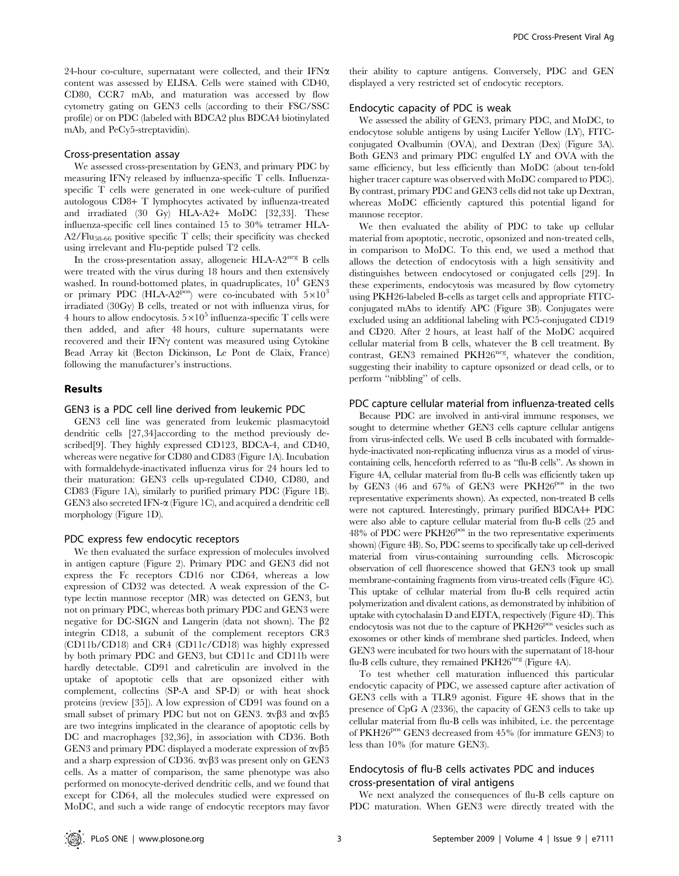24-hour co-culture, supernatant were collected, and their IFN $\alpha$ content was assessed by ELISA. Cells were stained with CD40, CD80, CCR7 mAb, and maturation was accessed by flow cytometry gating on GEN3 cells (according to their FSC/SSC profile) or on PDC (labeled with BDCA2 plus BDCA4 biotinylated mAb, and PeCy5-streptavidin).

#### Cross-presentation assay

We assessed cross-presentation by GEN3, and primary PDC by measuring IFN $\gamma$  released by influenza-specific T cells. Influenzaspecific T cells were generated in one week-culture of purified autologous CD8+ T lymphocytes activated by influenza-treated and irradiated (30 Gy) HLA-A2+ MoDC [32,33]. These influenza-specific cell lines contained 15 to 30% tetramer HLA- $A2/Flu_{58-66}$  positive specific T cells; their specificity was checked using irrelevant and Flu-peptide pulsed T2 cells.

In the cross-presentation assay, allogeneic HLA- $A2^{neg}$  B cells were treated with the virus during 18 hours and then extensively washed. In round-bottomed plates, in quadruplicates,  $10^4$  GEN3 or primary PDC (HLA-A2<sup>pos</sup>) were co-incubated with  $5\times10^3$ irradiated (30Gy) B cells, treated or not with influenza virus, for 4 hours to allow endocytosis.  $5\times10^5$  influenza-specific T cells were then added, and after 48 hours, culture supernatants were recovered and their IFN $\gamma$  content was measured using Cytokine Bead Array kit (Becton Dickinson, Le Pont de Claix, France) following the manufacturer's instructions.

#### Results

#### GEN3 is a PDC cell line derived from leukemic PDC

GEN3 cell line was generated from leukemic plasmacytoid dendritic cells [27,34]according to the method previously described[9]. They highly expressed CD123, BDCA-4, and CD40, whereas were negative for CD80 and CD83 (Figure 1A). Incubation with formaldehyde-inactivated influenza virus for 24 hours led to their maturation: GEN3 cells up-regulated CD40, CD80, and CD83 (Figure 1A), similarly to purified primary PDC (Figure 1B). GEN3 also secreted IFN- $\alpha$  (Figure 1C), and acquired a dendritic cell morphology (Figure 1D).

#### PDC express few endocytic receptors

We then evaluated the surface expression of molecules involved in antigen capture (Figure 2). Primary PDC and GEN3 did not express the Fc receptors CD16 nor CD64, whereas a low expression of CD32 was detected. A weak expression of the Ctype lectin mannose receptor (MR) was detected on GEN3, but not on primary PDC, whereas both primary PDC and GEN3 were negative for DC-SIGN and Langerin (data not shown). The  $\beta$ 2 integrin CD18, a subunit of the complement receptors CR3 (CD11b/CD18) and CR4 (CD11c/CD18) was highly expressed by both primary PDC and GEN3, but CD11c and CD11b were hardly detectable. CD91 and calreticulin are involved in the uptake of apoptotic cells that are opsonized either with complement, collectins (SP-A and SP-D) or with heat shock proteins (review [35]). A low expression of CD91 was found on a small subset of primary PDC but not on GEN3.  $\alpha v\beta$ 3 and  $\alpha v\beta$ 5 are two integrins implicated in the clearance of apoptotic cells by DC and macrophages [32,36], in association with CD36. Both GEN3 and primary PDC displayed a moderate expression of  $\alpha$  $\beta$ 5 and a sharp expression of CD36.  $\alpha v\beta3$  was present only on GEN3 cells. As a matter of comparison, the same phenotype was also performed on monocyte-derived dendritic cells, and we found that except for CD64, all the molecules studied were expressed on MoDC, and such a wide range of endocytic receptors may favor

their ability to capture antigens. Conversely, PDC and GEN displayed a very restricted set of endocytic receptors.

#### Endocytic capacity of PDC is weak

We assessed the ability of GEN3, primary PDC, and MoDC, to endocytose soluble antigens by using Lucifer Yellow (LY), FITCconjugated Ovalbumin (OVA), and Dextran (Dex) (Figure 3A). Both GEN3 and primary PDC engulfed LY and OVA with the same efficiency, but less efficiently than MoDC (about ten-fold higher tracer capture was observed with MoDC compared to PDC). By contrast, primary PDC and GEN3 cells did not take up Dextran, whereas MoDC efficiently captured this potential ligand for mannose receptor.

We then evaluated the ability of PDC to take up cellular material from apoptotic, necrotic, opsonized and non-treated cells, in comparison to MoDC. To this end, we used a method that allows the detection of endocytosis with a high sensitivity and distinguishes between endocytosed or conjugated cells [29]. In these experiments, endocytosis was measured by flow cytometry using PKH26-labeled B-cells as target cells and appropriate FITCconjugated mAbs to identify APC (Figure 3B). Conjugates were excluded using an additional labeling with PC5-conjugated CD19 and CD20. After 2 hours, at least half of the MoDC acquired cellular material from B cells, whatever the B cell treatment. By contrast, GEN3 remained PKH26<sup>neg</sup>, whatever the condition, suggesting their inability to capture opsonized or dead cells, or to perform ''nibbling'' of cells.

#### PDC capture cellular material from influenza-treated cells

Because PDC are involved in anti-viral immune responses, we sought to determine whether GEN3 cells capture cellular antigens from virus-infected cells. We used B cells incubated with formaldehyde-inactivated non-replicating influenza virus as a model of viruscontaining cells, henceforth referred to as ''flu-B cells''. As shown in Figure 4A, cellular material from flu-B cells was efficiently taken up by GEN3 (46 and 67% of GEN3 were PKH26<sup>pos</sup> in the two representative experiments shown). As expected, non-treated B cells were not captured. Interestingly, primary purified BDCA4+ PDC were also able to capture cellular material from flu-B cells (25 and  $48\%$  of PDC were PKH2 $6^{pos}$  in the two representative experiments shown) (Figure 4B). So, PDC seems to specifically take up cell-derived material from virus-containing surrounding cells. Microscopic observation of cell fluorescence showed that GEN3 took up small membrane-containing fragments from virus-treated cells (Figure 4C). This uptake of cellular material from flu-B cells required actin polymerization and divalent cations, as demonstrated by inhibition of uptake with cytochalasin D and EDTA, respectively (Figure 4D). This endocytosis was not due to the capture of PKH26<sup>pos</sup> vesicles such as exosomes or other kinds of membrane shed particles. Indeed, when GEN3 were incubated for two hours with the supernatant of 18-hour flu-B cells culture, they remained  $PKH26<sup>neg</sup>$  (Figure 4A).

To test whether cell maturation influenced this particular endocytic capacity of PDC, we assessed capture after activation of GEN3 cells with a TLR9 agonist. Figure 4E shows that in the presence of CpG A (2336), the capacity of GEN3 cells to take up cellular material from flu-B cells was inhibited, i.e. the percentage of PKH2 $6^{pos}$  GEN3 decreased from 45% (for immature GEN3) to less than 10% (for mature GEN3).

### Endocytosis of flu-B cells activates PDC and induces cross-presentation of viral antigens

We next analyzed the consequences of flu-B cells capture on PDC maturation. When GEN3 were directly treated with the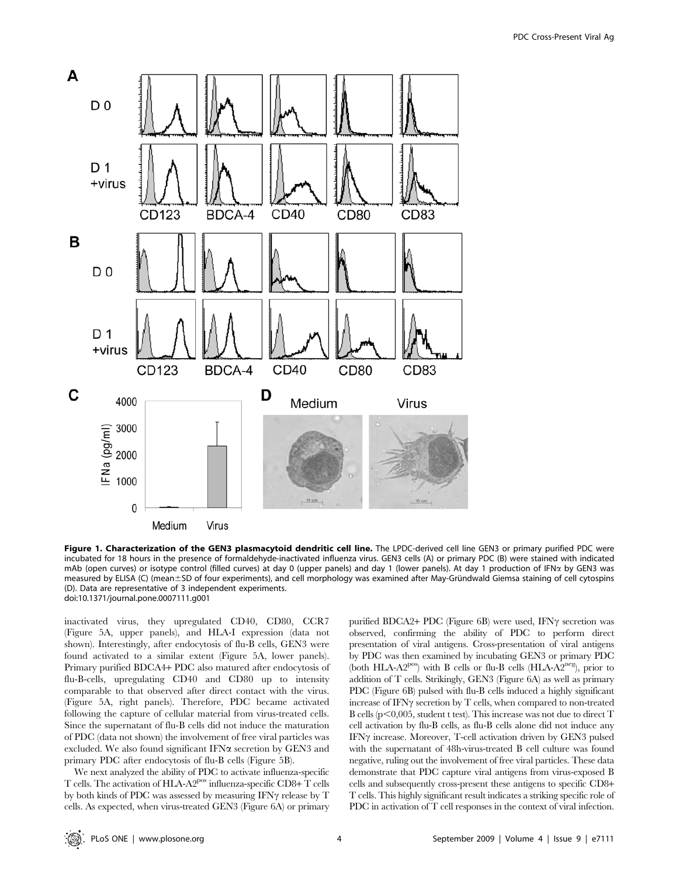

Figure 1. Characterization of the GEN3 plasmacytoid dendritic cell line. The LPDC-derived cell line GEN3 or primary purified PDC were incubated for 18 hours in the presence of formaldehyde-inactivated influenza virus. GEN3 cells (A) or primary PDC (B) were stained with indicated mAb (open curves) or isotype control (filled curves) at day 0 (upper panels) and day 1 (lower panels). At day 1 production of IFNα by GEN3 was measured by ELISA (C) (mean±SD of four experiments), and cell morphology was examined after May-Gründwald Giemsa staining of cell cytospins (D). Data are representative of 3 independent experiments. doi:10.1371/journal.pone.0007111.g001

inactivated virus, they upregulated CD40, CD80, CCR7 (Figure 5A, upper panels), and HLA-I expression (data not shown). Interestingly, after endocytosis of flu-B cells, GEN3 were found activated to a similar extent (Figure 5A, lower panels). Primary purified BDCA4+ PDC also matured after endocytosis of flu-B-cells, upregulating CD40 and CD80 up to intensity comparable to that observed after direct contact with the virus. (Figure 5A, right panels). Therefore, PDC became activated following the capture of cellular material from virus-treated cells. Since the supernatant of flu-B cells did not induce the maturation of PDC (data not shown) the involvement of free viral particles was excluded. We also found significant IFN $\alpha$  secretion by GEN3 and primary PDC after endocytosis of flu-B cells (Figure 5B).

We next analyzed the ability of PDC to activate influenza-specific T cells. The activation of HLA-A2pos influenza-specific CD8+ T cells by both kinds of PDC was assessed by measuring IFN $\gamma$  release by T cells. As expected, when virus-treated GEN3 (Figure 6A) or primary

purified BDCA2+ PDC (Figure 6B) were used, IFN $\gamma$  secretion was observed, confirming the ability of PDC to perform direct presentation of viral antigens. Cross-presentation of viral antigens by PDC was then examined by incubating GEN3 or primary PDC (both HLA-A2<sup>pos</sup>) with B cells or flu-B cells (HLA-A2<sup>neg</sup>), prior to addition of T cells. Strikingly, GEN3 (Figure 6A) as well as primary PDC (Figure 6B) pulsed with flu-B cells induced a highly significant increase of IFN $\gamma$  secretion by T cells, when compared to non-treated B cells ( $p<0,005$ , student t test). This increase was not due to direct T cell activation by flu-B cells, as flu-B cells alone did not induce any IFN $\gamma$  increase. Moreover, T-cell activation driven by GEN3 pulsed with the supernatant of 48h-virus-treated B cell culture was found negative, ruling out the involvement of free viral particles. These data demonstrate that PDC capture viral antigens from virus-exposed B cells and subsequently cross-present these antigens to specific CD8+ T cells. This highly significant result indicates a striking specific role of PDC in activation of T cell responses in the context of viral infection.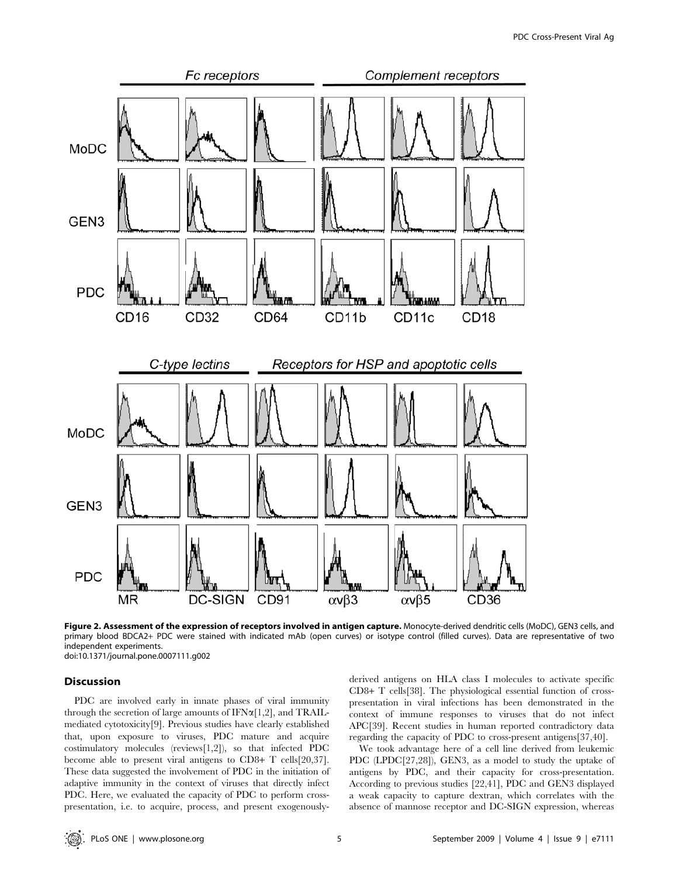

Figure 2. Assessment of the expression of receptors involved in antigen capture. Monocyte-derived dendritic cells (MoDC), GEN3 cells, and primary blood BDCA2+ PDC were stained with indicated mAb (open curves) or isotype control (filled curves). Data are representative of two independent experiments. doi:10.1371/journal.pone.0007111.g002

### Discussion

PDC are involved early in innate phases of viral immunity through the secretion of large amounts of  $IFN\alpha[1,2]$ , and  $TRAIL$ mediated cytotoxicity[9]. Previous studies have clearly established that, upon exposure to viruses, PDC mature and acquire costimulatory molecules (reviews[1,2]), so that infected PDC become able to present viral antigens to CD8+ T cells[20,37]. These data suggested the involvement of PDC in the initiation of adaptive immunity in the context of viruses that directly infect PDC. Here, we evaluated the capacity of PDC to perform crosspresentation, i.e. to acquire, process, and present exogenouslyderived antigens on HLA class I molecules to activate specific CD8+ T cells[38]. The physiological essential function of crosspresentation in viral infections has been demonstrated in the context of immune responses to viruses that do not infect APC[39]. Recent studies in human reported contradictory data regarding the capacity of PDC to cross-present antigens[37,40].

We took advantage here of a cell line derived from leukemic PDC (LPDC[27,28]), GEN3, as a model to study the uptake of antigens by PDC, and their capacity for cross-presentation. According to previous studies [22,41], PDC and GEN3 displayed a weak capacity to capture dextran, which correlates with the absence of mannose receptor and DC-SIGN expression, whereas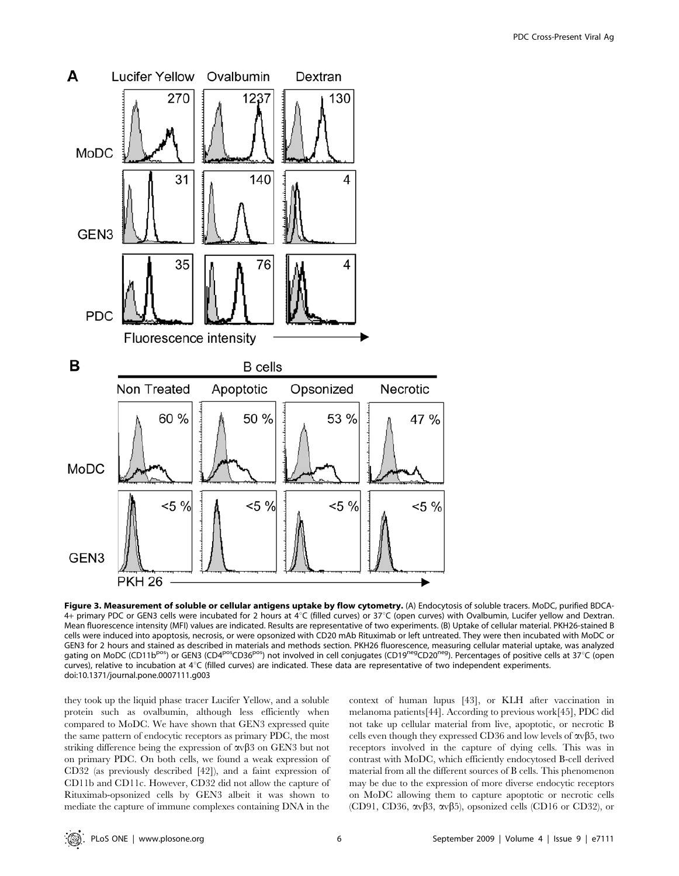

Figure 3. Measurement of soluble or cellular antigens uptake by flow cytometry. (A) Endocytosis of soluble tracers. MoDC, purified BDCA-4+ primary PDC or GEN3 cells were incubated for 2 hours at 4°C (filled curves) or 37°C (open curves) with Ovalbumin, Lucifer yellow and Dextran. Mean fluorescence intensity (MFI) values are indicated. Results are representative of two experiments. (B) Uptake of cellular material. PKH26-stained B cells were induced into apoptosis, necrosis, or were opsonized with CD20 mAb Rituximab or left untreated. They were then incubated with MoDC or GEN3 for 2 hours and stained as described in materials and methods section. PKH26 fluorescence, measuring cellular material uptake, was analyzed gating on MoDC (CD11b<sup>pos</sup>) or GEN3 (CD4<sup>pos</sup>CD36<sup>pos</sup>) not involved in cell conjugates (CD19<sup>neg</sup>CD20<sup>neg</sup>). Percentages of positive cells at 37°C (open curves), relative to incubation at  $4^{\circ}$ C (filled curves) are indicated. These data are representative of two independent experiments. doi:10.1371/journal.pone.0007111.g003

they took up the liquid phase tracer Lucifer Yellow, and a soluble protein such as ovalbumin, although less efficiently when compared to MoDC. We have shown that GEN3 expressed quite the same pattern of endocytic receptors as primary PDC, the most striking difference being the expression of  $\alpha v \beta$ 3 on GEN3 but not on primary PDC. On both cells, we found a weak expression of CD32 (as previously described [42]), and a faint expression of CD11b and CD11c. However, CD32 did not allow the capture of Rituximab-opsonized cells by GEN3 albeit it was shown to mediate the capture of immune complexes containing DNA in the

context of human lupus [43], or KLH after vaccination in melanoma patients[44]. According to previous work[45], PDC did not take up cellular material from live, apoptotic, or necrotic B cells even though they expressed CD36 and low levels of  $\alpha \sqrt{35}$ , two receptors involved in the capture of dying cells. This was in contrast with MoDC, which efficiently endocytosed B-cell derived material from all the different sources of B cells. This phenomenon may be due to the expression of more diverse endocytic receptors on MoDC allowing them to capture apoptotic or necrotic cells (CD91, CD36,  $\alpha v\beta3$ ,  $\alpha v\beta5$ ), opsonized cells (CD16 or CD32), or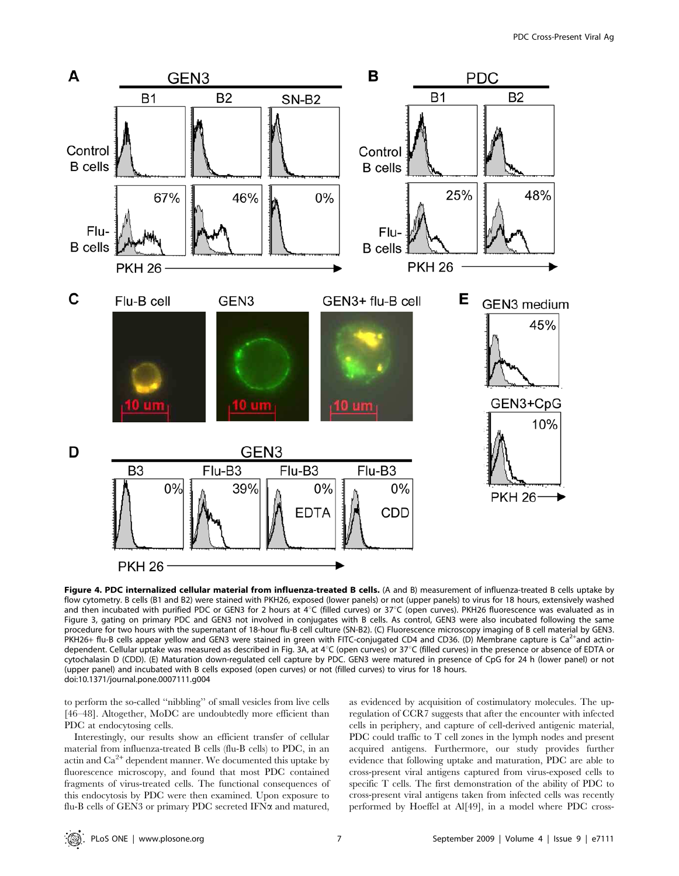

Figure 4. PDC internalized cellular material from influenza-treated B cells. (A and B) measurement of influenza-treated B cells uptake by flow cytometry. B cells (B1 and B2) were stained with PKH26, exposed (lower panels) or not (upper panels) to virus for 18 hours, extensively washed and then incubated with purified PDC or GEN3 for 2 hours at  $4^{\circ}$ C (filled curves) or  $37^{\circ}$ C (open curves). PKH26 fluorescence was evaluated as in Figure 3, gating on primary PDC and GEN3 not involved in conjugates with B cells. As control, GEN3 were also incubated following the same procedure for two hours with the supernatant of 18-hour flu-B cell culture (SN-B2). (C) Fluorescence microscopy imaging of B cell material by GEN3. PKH26+ flu-B cells appear yellow and GEN3 were stained in green with FITC-conjugated CD4 and CD36. (D) Membrane capture is Ca<sup>2+</sup>and actindependent. Cellular uptake was measured as described in Fig. 3A, at 4°C (open curves) or 37°C (filled curves) in the presence or absence of EDTA or cytochalasin D (CDD). (E) Maturation down-regulated cell capture by PDC. GEN3 were matured in presence of CpG for 24 h (lower panel) or not (upper panel) and incubated with B cells exposed (open curves) or not (filled curves) to virus for 18 hours. doi:10.1371/journal.pone.0007111.g004

to perform the so-called ''nibbling'' of small vesicles from live cells [46–48]. Altogether, MoDC are undoubtedly more efficient than PDC at endocytosing cells.

Interestingly, our results show an efficient transfer of cellular material from influenza-treated B cells (flu-B cells) to PDC, in an actin and  $Ca<sup>2+</sup>$  dependent manner. We documented this uptake by fluorescence microscopy, and found that most PDC contained fragments of virus-treated cells. The functional consequences of this endocytosis by PDC were then examined. Upon exposure to flu-B cells of GEN3 or primary PDC secreted IFN $\alpha$  and matured, as evidenced by acquisition of costimulatory molecules. The upregulation of CCR7 suggests that after the encounter with infected cells in periphery, and capture of cell-derived antigenic material, PDC could traffic to T cell zones in the lymph nodes and present acquired antigens. Furthermore, our study provides further evidence that following uptake and maturation, PDC are able to cross-present viral antigens captured from virus-exposed cells to specific T cells. The first demonstration of the ability of PDC to cross-present viral antigens taken from infected cells was recently performed by Hoeffel at Al[49], in a model where PDC cross-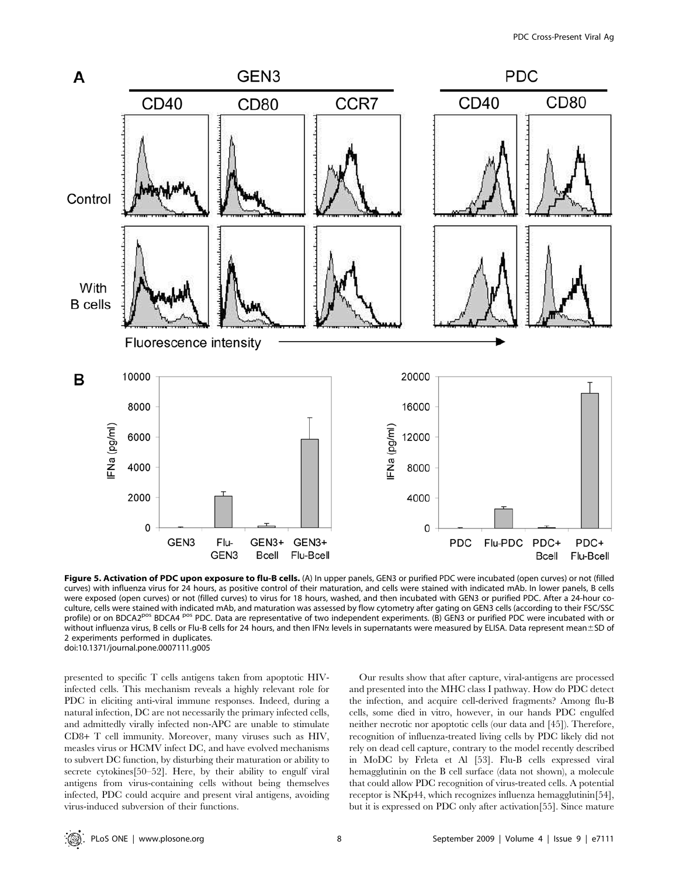

Figure 5. Activation of PDC upon exposure to flu-B cells. (A) In upper panels, GEN3 or purified PDC were incubated (open curves) or not (filled curves) with influenza virus for 24 hours, as positive control of their maturation, and cells were stained with indicated mAb. In lower panels, B cells were exposed (open curves) or not (filled curves) to virus for 18 hours, washed, and then incubated with GEN3 or purified PDC. After a 24-hour coculture, cells were stained with indicated mAb, and maturation was assessed by flow cytometry after gating on GEN3 cells (according to their FSC/SSC profile) or on BDCA2<sup>pos</sup> BDCA4<sup> pos</sup> PDC. Data are representative of two independent experiments. (B) GEN3 or purified PDC were incubated with or without influenza virus, B cells or Flu-B cells for 24 hours, and then IFN<sub>x</sub> levels in supernatants were measured by ELISA. Data represent mean±SD of 2 experiments performed in duplicates. doi:10.1371/journal.pone.0007111.g005

presented to specific T cells antigens taken from apoptotic HIVinfected cells. This mechanism reveals a highly relevant role for PDC in eliciting anti-viral immune responses. Indeed, during a natural infection, DC are not necessarily the primary infected cells, and admittedly virally infected non-APC are unable to stimulate CD8+ T cell immunity. Moreover, many viruses such as HIV, measles virus or HCMV infect DC, and have evolved mechanisms to subvert DC function, by disturbing their maturation or ability to secrete cytokines[50–52]. Here, by their ability to engulf viral antigens from virus-containing cells without being themselves infected, PDC could acquire and present viral antigens, avoiding virus-induced subversion of their functions.

Our results show that after capture, viral-antigens are processed and presented into the MHC class I pathway. How do PDC detect the infection, and acquire cell-derived fragments? Among flu-B cells, some died in vitro, however, in our hands PDC engulfed neither necrotic nor apoptotic cells (our data and [45]). Therefore, recognition of influenza-treated living cells by PDC likely did not rely on dead cell capture, contrary to the model recently described in MoDC by Frleta et Al [53]. Flu-B cells expressed viral hemagglutinin on the B cell surface (data not shown), a molecule that could allow PDC recognition of virus-treated cells. A potential receptor is NKp44, which recognizes influenza hemagglutinin[54], but it is expressed on PDC only after activation[55]. Since mature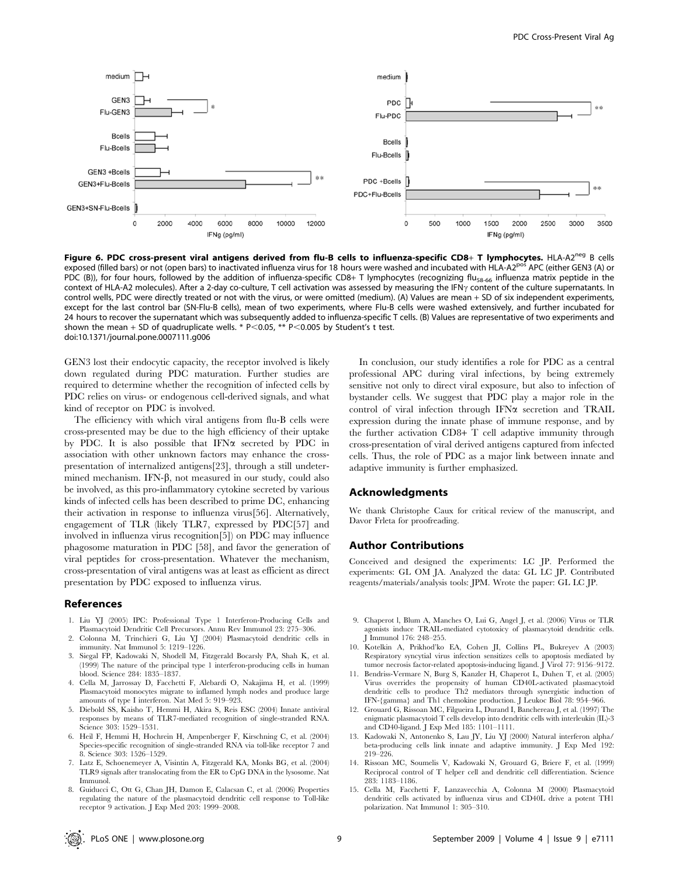

Figure 6. PDC cross-present viral antigens derived from flu-B cells to influenza-specific CD8+ T lymphocytes. HLA-A2<sup>neg</sup> B cells exposed (filled bars) or not (open bars) to inactivated influenza virus for 18 hours were washed and incubated with HLA-A2<sup>pos</sup> APC (either GEN3 (A) or PDC (B)), for four hours, followed by the addition of influenza-specific CD8+ T lymphocytes (recognizing flu<sub>58-66</sub> influenza matrix peptide in the context of HLA-A2 molecules). After a 2-day co-culture, T cell activation was assessed by measuring the IFN<sub>Y</sub> content of the culture supernatants. In control wells, PDC were directly treated or not with the virus, or were omitted (medium). (A) Values are mean + SD of six independent experiments, except for the last control bar (SN-Flu-B cells), mean of two experiments, where Flu-B cells were washed extensively, and further incubated for 24 hours to recover the supernatant which was subsequently added to influenza-specific T cells. (B) Values are representative of two experiments and shown the mean + SD of quadruplicate wells. \* P<0.05, \*\* P<0.005 by Student's t test. doi:10.1371/journal.pone.0007111.g006

GEN3 lost their endocytic capacity, the receptor involved is likely down regulated during PDC maturation. Further studies are required to determine whether the recognition of infected cells by PDC relies on virus- or endogenous cell-derived signals, and what kind of receptor on PDC is involved.

The efficiency with which viral antigens from flu-B cells were cross-presented may be due to the high efficiency of their uptake by PDC. It is also possible that IFN $\alpha$  secreted by PDC in association with other unknown factors may enhance the crosspresentation of internalized antigens[23], through a still undetermined mechanism. IFN- $\beta$ , not measured in our study, could also be involved, as this pro-inflammatory cytokine secreted by various kinds of infected cells has been described to prime DC, enhancing their activation in response to influenza virus[56]. Alternatively, engagement of TLR (likely TLR7, expressed by PDC[57] and involved in influenza virus recognition[5]) on PDC may influence phagosome maturation in PDC [58], and favor the generation of viral peptides for cross-presentation. Whatever the mechanism, cross-presentation of viral antigens was at least as efficient as direct presentation by PDC exposed to influenza virus.

#### References

- 1. Liu YJ (2005) IPC: Professional Type 1 Interferon-Producing Cells and Plasmacytoid Dendritic Cell Precursors. Annu Rev Immunol 23: 275–306.
- 2. Colonna M, Trinchieri G, Liu YJ (2004) Plasmacytoid dendritic cells in immunity. Nat Immunol 5: 1219–1226.
- 3. Siegal FP, Kadowaki N, Shodell M, Fitzgerald Bocarsly PA, Shah K, et al. (1999) The nature of the principal type 1 interferon-producing cells in human blood. Science 284: 1835–1837.
- 4. Cella M, Jarrossay D, Facchetti F, Alebardi O, Nakajima H, et al. (1999) Plasmacytoid monocytes migrate to inflamed lymph nodes and produce large amounts of type I interferon. Nat Med 5: 919–923.
- 5. Diebold SS, Kaisho T, Hemmi H, Akira S, Reis ESC (2004) Innate antiviral responses by means of TLR7-mediated recognition of single-stranded RNA. Science 303: 1529–1531.
- 6. Heil F, Hemmi H, Hochrein H, Ampenberger F, Kirschning C, et al. (2004) Species-specific recognition of single-stranded RNA via toll-like receptor 7 and 8. Science 303: 1526–1529.
- 7. Latz E, Schoenemeyer A, Visintin A, Fitzgerald KA, Monks BG, et al. (2004) TLR9 signals after translocating from the ER to CpG DNA in the lysosome. Nat Immunol.
- 8. Guiducci C, Ott G, Chan JH, Damon E, Calacsan C, et al. (2006) Properties regulating the nature of the plasmacytoid dendritic cell response to Toll-like receptor 9 activation. J Exp Med 203: 1999–2008.

In conclusion, our study identifies a role for PDC as a central professional APC during viral infections, by being extremely sensitive not only to direct viral exposure, but also to infection of bystander cells. We suggest that PDC play a major role in the control of viral infection through IFN $\alpha$  secretion and TRAIL expression during the innate phase of immune response, and by the further activation CD8+ T cell adaptive immunity through cross-presentation of viral derived antigens captured from infected cells. Thus, the role of PDC as a major link between innate and adaptive immunity is further emphasized.

#### Acknowledgments

We thank Christophe Caux for critical review of the manuscript, and Davor Frleta for proofreading.

#### Author Contributions

Conceived and designed the experiments: LC JP. Performed the experiments: GL OM JA. Analyzed the data: GL LC JP. Contributed reagents/materials/analysis tools: JPM. Wrote the paper: GL LC JP.

- 9. Chaperot l, Blum A, Manches O, Lui G, Angel J, et al. (2006) Virus or TLR agonists induce TRAIL-mediated cytotoxicy of plasmacytoid dendritic cells. Immunol 176: 248-255
- 10. Kotelkin A, Prikhod'ko EA, Cohen JI, Collins PL, Bukreyev A (2003) Respiratory syncytial virus infection sensitizes cells to apoptosis mediated by tumor necrosis factor-related apoptosis-inducing ligand. J Virol 77: 9156-9172.
- 11. Bendriss-Vermare N, Burg S, Kanzler H, Chaperot L, Duhen T, et al. (2005) Virus overrides the propensity of human CD40L-activated plasmacytoid dendritic cells to produce Th2 mediators through synergistic induction of IFN-{gamma} and Th1 chemokine production. J Leukoc Biol 78: 954–966.
- 12. Grouard G, Rissoan MC, Filgueira L, Durand I, Banchereau J, et al. (1997) The enigmatic plasmacytoid T cells develop into dendritic cells with interleukin (IL)-3 and CD40-ligand. J Exp Med 185: 1101–1111.
- 13. Kadowaki N, Antonenko S, Lau JY, Liu YJ (2000) Natural interferon alpha/ beta-producing cells link innate and adaptive immunity. J Exp Med 192: 219–226.
- 14. Rissoan MC, Soumelis V, Kadowaki N, Grouard G, Briere F, et al. (1999) Reciprocal control of T helper cell and dendritic cell differentiation. Science 283: 1183–1186.
- 15. Cella M, Facchetti F, Lanzavecchia A, Colonna M (2000) Plasmacytoid dendritic cells activated by influenza virus and CD40L drive a potent TH1 polarization. Nat Immunol 1: 305–310.